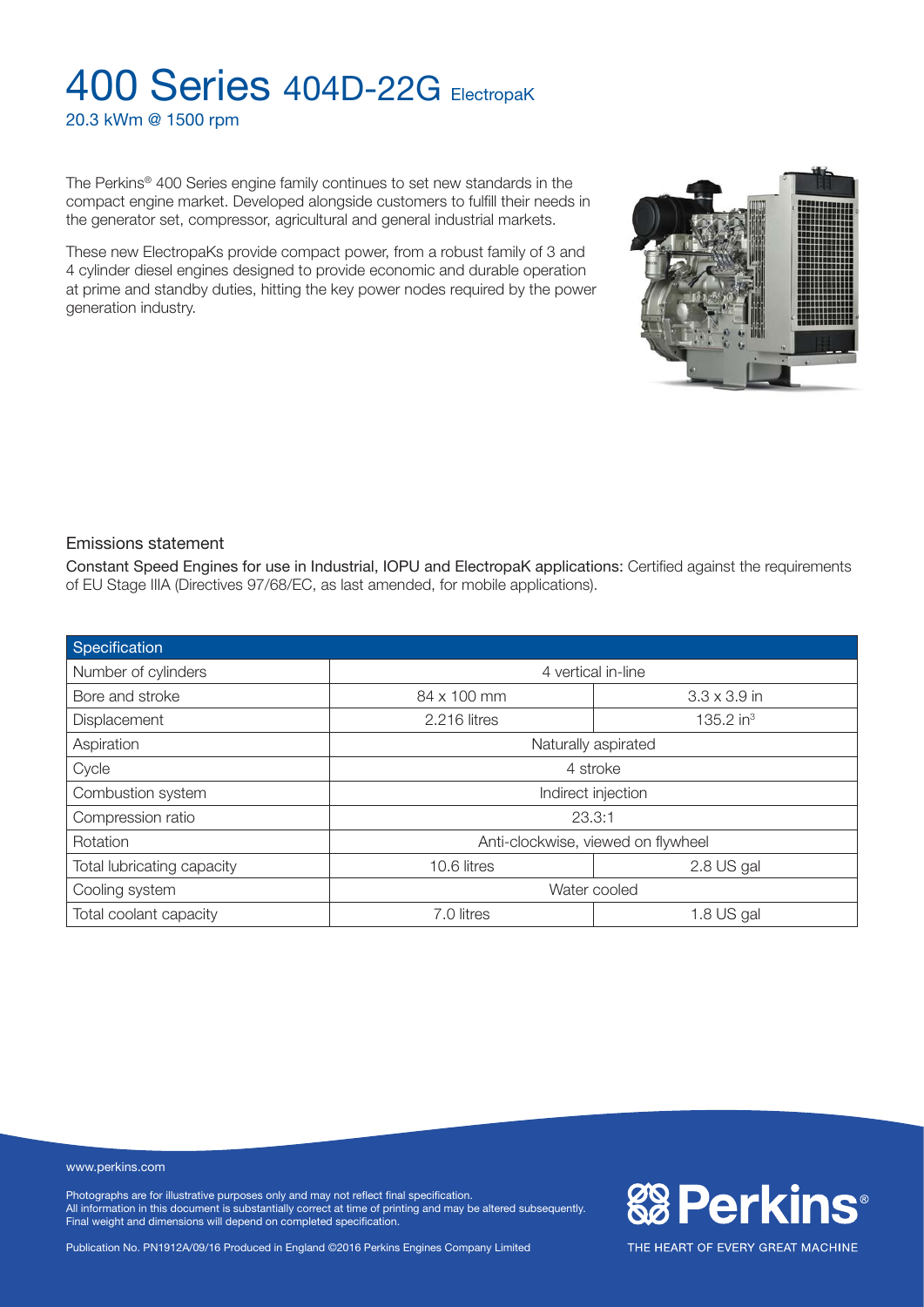20.3 kWm @ 1500 rpm

The Perkins® 400 Series engine family continues to set new standards in the compact engine market. Developed alongside customers to fulfill their needs in the generator set, compressor, agricultural and general industrial markets.

These new ElectropaKs provide compact power, from a robust family of 3 and 4 cylinder diesel engines designed to provide economic and durable operation at prime and standby duties, hitting the key power nodes required by the power generation industry.

#### Emissions statement

Constant Speed Engines for use in Industrial, IOPU and ElectropaK applications: Certified against the requirements of EU Stage IIIA (Directives 97/68/EC, as last amended, for mobile applications).

| Specification              |                                    |                       |  |
|----------------------------|------------------------------------|-----------------------|--|
| Number of cylinders        | 4 vertical in-line                 |                       |  |
| Bore and stroke            | 84 x 100 mm                        | $3.3 \times 3.9$ in   |  |
| Displacement               | 2.216 litres                       | 135.2 in <sup>3</sup> |  |
| Aspiration                 | Naturally aspirated                |                       |  |
| Cycle                      | 4 stroke                           |                       |  |
| Combustion system          | Indirect injection                 |                       |  |
| Compression ratio          | 23.3:1                             |                       |  |
| Rotation                   | Anti-clockwise, viewed on flywheel |                       |  |
| Total lubricating capacity | 2.8 US gal<br>10.6 litres          |                       |  |
| Cooling system             | Water cooled                       |                       |  |
| Total coolant capacity     | 7.0 litres                         | 1.8 US gal            |  |

#### www.perkins.com

Photographs are for illustrative purposes only and may not reflect final specification. All information in this document is substantially correct at time of printing and may be altered subsequently. Final weight and dimensions will depend on completed specification.

Publication No. PN1912A/09/16 Produced in England ©2016 Perkins Engines Company Limited



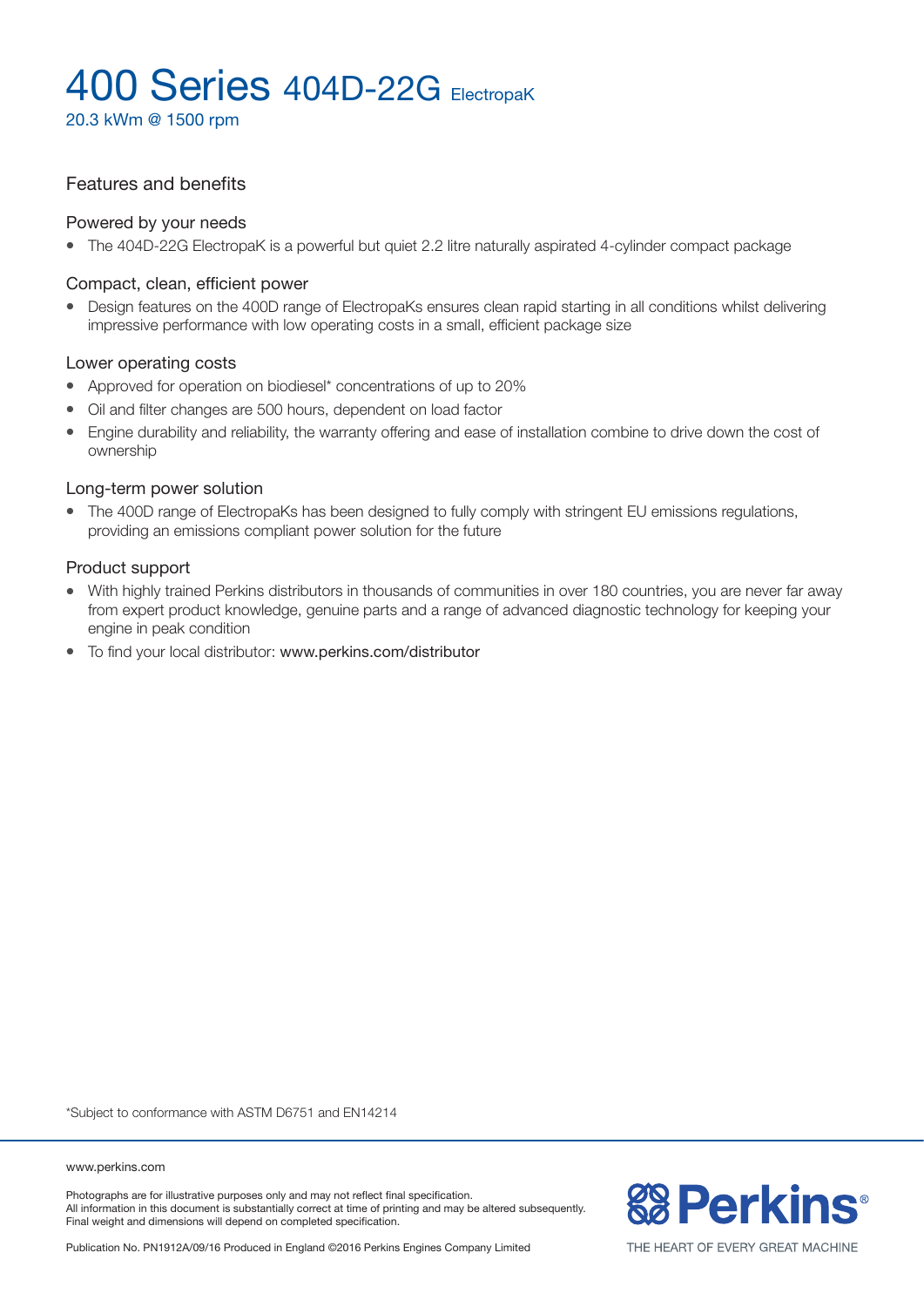20.3 kWm @ 1500 rpm

#### Features and benefits

#### Powered by your needs

• The 404D-22G ElectropaK is a powerful but quiet 2.2 litre naturally aspirated 4-cylinder compact package

#### Compact, clean, efficient power

• Design features on the 400D range of ElectropaKs ensures clean rapid starting in all conditions whilst delivering impressive performance with low operating costs in a small, efficient package size

#### Lower operating costs

- Approved for operation on biodiesel\* concentrations of up to 20%
- Oil and filter changes are 500 hours, dependent on load factor
- Engine durability and reliability, the warranty offering and ease of installation combine to drive down the cost of ownership

#### Long-term power solution

• The 400D range of ElectropaKs has been designed to fully comply with stringent EU emissions regulations, providing an emissions compliant power solution for the future

#### Product support

- <sup>l</sup> With highly trained Perkins distributors in thousands of communities in over 180 countries, you are never far away from expert product knowledge, genuine parts and a range of advanced diagnostic technology for keeping your engine in peak condition
- To find your local distributor: www.perkins.com/distributor

\*Subject to conformance with ASTM D6751 and EN14214

www.perkins.com

Photographs are for illustrative purposes only and may not reflect final specification. All information in this document is substantially correct at time of printing and may be altered subsequently. Final weight and dimensions will depend on completed specification.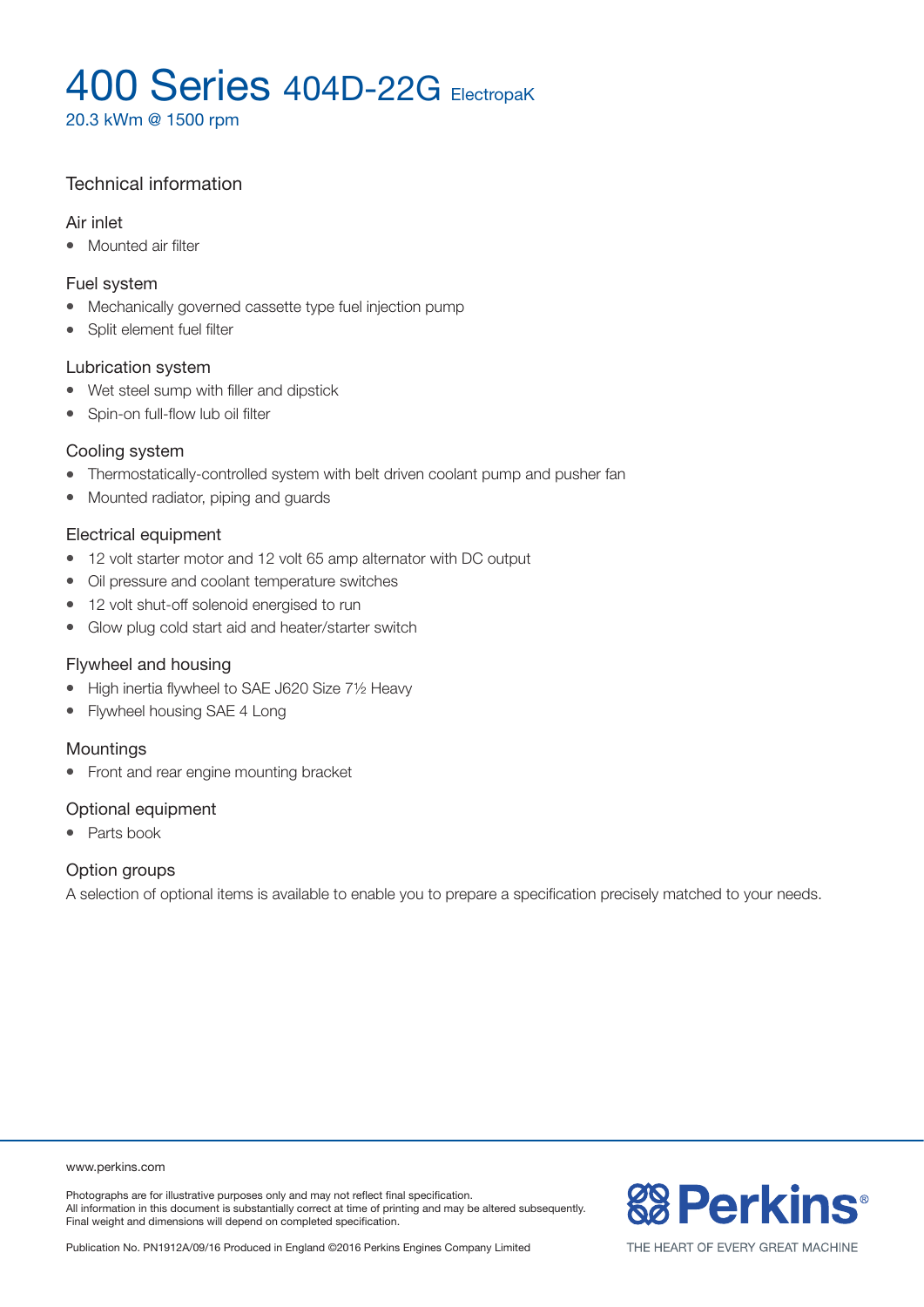20.3 kWm @ 1500 rpm

### Technical information

#### Air inlet

• Mounted air filter

#### Fuel system

- Mechanically governed cassette type fuel injection pump
- Split element fuel filter

#### Lubrication system

- Wet steel sump with filler and dipstick
- Spin-on full-flow lub oil filter

#### Cooling system

- Thermostatically-controlled system with belt driven coolant pump and pusher fan
- Mounted radiator, piping and guards

#### Electrical equipment

- 12 volt starter motor and 12 volt 65 amp alternator with DC output
- Oil pressure and coolant temperature switches
- 12 volt shut-off solenoid energised to run
- Glow plug cold start aid and heater/starter switch

#### Flywheel and housing

- High inertia flywheel to SAE J620 Size 71/2 Heavy
- Flywheel housing SAE 4 Long

#### **Mountings**

• Front and rear engine mounting bracket

#### Optional equipment

• Parts book

#### Option groups

A selection of optional items is available to enable you to prepare a specification precisely matched to your needs.

www.perkins.com

Photographs are for illustrative purposes only and may not reflect final specification. All information in this document is substantially correct at time of printing and may be altered subsequently. Final weight and dimensions will depend on completed specification.



Publication No. PN1912A/09/16 Produced in England ©2016 Perkins Engines Company Limited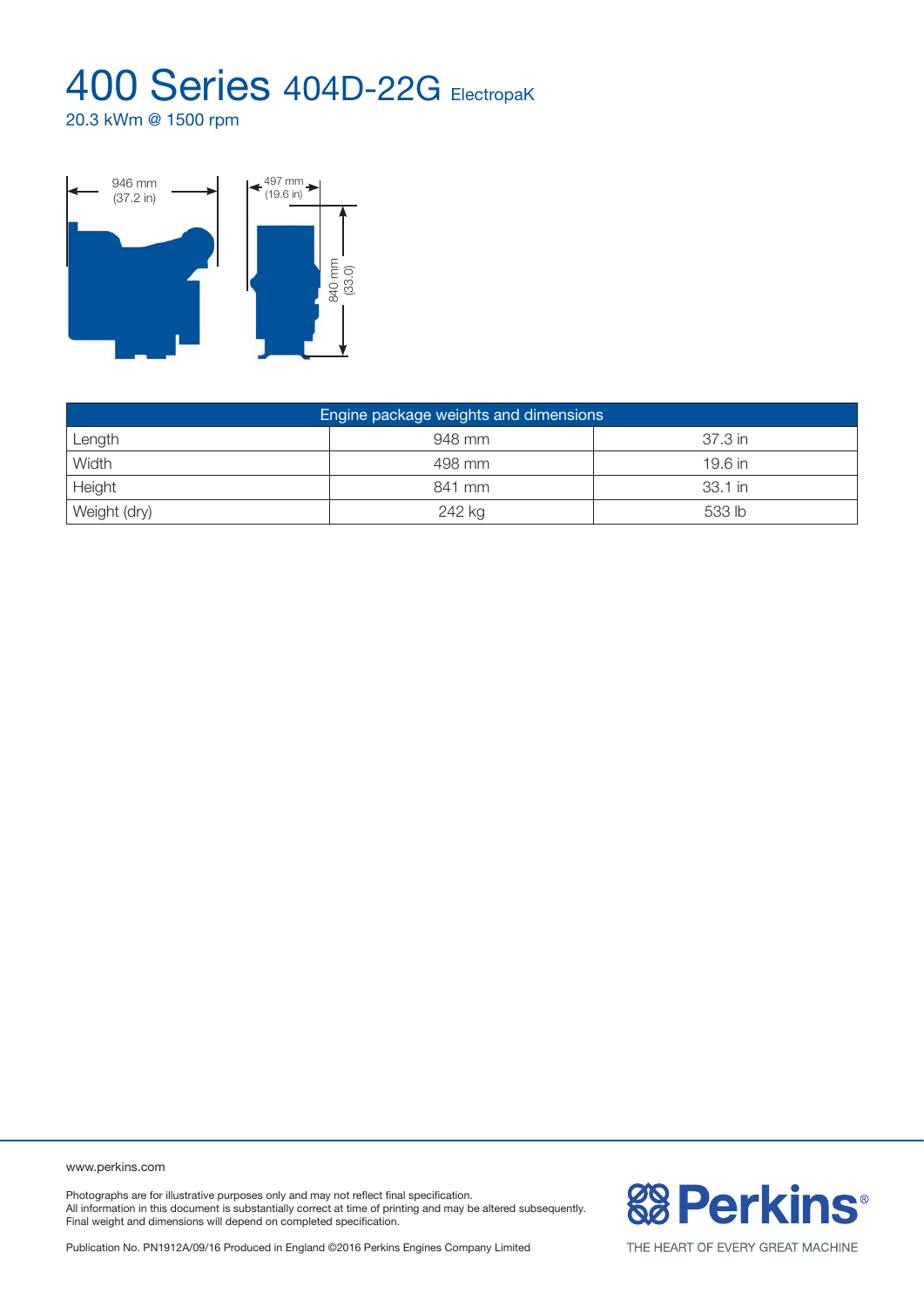20.3 kWm @ 1500 rpm



| Engine package weights and dimensions |        |           |  |  |  |
|---------------------------------------|--------|-----------|--|--|--|
| Length                                | 948 mm | 37.3 in   |  |  |  |
| Width                                 | 498 mm | $19.6$ in |  |  |  |
| Height                                | 841 mm | 33.1 in   |  |  |  |
| Weight (dry)                          | 242 kg | 533 lb    |  |  |  |

www.perkins.com

Photographs are for illustrative purposes only and may not reflect final specification. All information in this document is substantially correct at time of printing and may be altered subsequently. Final weight and dimensions will depend on completed specification.

**& Perkins®** 

Publication No. PN1912A/09/16 Produced in England ©2016 Perkins Engines Company Limited